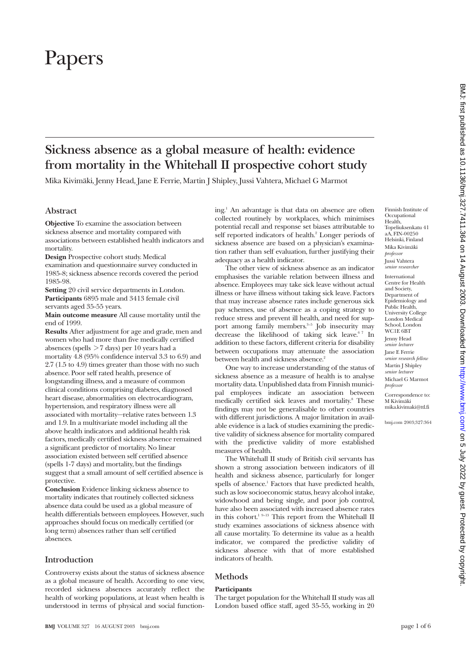# Papers

# **Sickness absence as a global measure of health: evidence from mortality in the Whitehall II prospective cohort study**

Mika Kivimäki, Jenny Head, Jane E Ferrie, Martin J Shipley, Jussi Vahtera, Michael G Marmot

# **Abstract**

**Objective** To examine the association between sickness absence and mortality compared with associations between established health indicators and mortality.

**Design** Prospective cohort study. Medical examination and questionnaire survey conducted in 1985-8; sickness absence records covered the period 1985-98.

**Setting** 20 civil service departments in London. **Participants** 6895 male and 3413 female civil servants aged 35-55 years.

**Main outcome measure** All cause mortality until the end of 1999.

**Results** After adjustment for age and grade, men and women who had more than five medically certified absences (spells  $>7$  days) per 10 years had a mortality 4.8 (95% confidence interval 3.3 to 6.9) and 2.7 (1.5 to 4.9) times greater than those with no such absence. Poor self rated health, presence of longstanding illness, and a measure of common clinical conditions comprising diabetes, diagnosed heart disease, abnormalities on electrocardiogram, hypertension, and respiratory illness were all associated with mortality—relative rates between 1.3 and 1.9. In a multivariate model including all the above health indicators and additional health risk factors, medically certified sickness absence remained a significant predictor of mortality. No linear association existed between self certified absence (spells 1-7 days) and mortality, but the findings suggest that a small amount of self certified absence is protective.

**Conclusion** Evidence linking sickness absence to mortality indicates that routinely collected sickness absence data could be used as a global measure of health differentials between employees. However, such approaches should focus on medically certified (or long term) absences rather than self certified absences.

# **Introduction**

Controversy exists about the status of sickness absence as a global measure of health. According to one view, recorded sickness absences accurately reflect the health of working populations, at least when health is understood in terms of physical and social functioning.1 An advantage is that data on absence are often collected routinely by workplaces, which minimises potential recall and response set biases attributable to self reported indicators of health.<sup>2</sup> Longer periods of sickness absence are based on a physician's examination rather than self evaluation, further justifying their adequacy as a health indicator.

The other view of sickness absence as an indicator emphasises the variable relation between illness and absence. Employees may take sick leave without actual illness or have illness without taking sick leave. Factors that may increase absence rates include generous sick pay schemes, use of absence as a coping strategy to reduce stress and prevent ill health, and need for support among family members.<sup>3-5</sup> Job insecurity may decrease the likelihood of taking sick leave.<sup>67</sup> In addition to these factors, different criteria for disability between occupations may attenuate the association between health and sickness absence.<sup>2</sup>

One way to increase understanding of the status of sickness absence as a measure of health is to analyse mortality data. Unpublished data from Finnish municipal employees indicate an association between medically certified sick leaves and mortality.<sup>8</sup> These findings may not be generalisable to other countries with different jurisdictions. A major limitation in available evidence is a lack of studies examining the predictive validity of sickness absence for mortality compared with the predictive validity of more established measures of health.

The Whitehall II study of British civil servants has shown a strong association between indicators of ill health and sickness absence, particularly for longer spells of absence.<sup>1</sup> Factors that have predicted health, such as low socioeconomic status, heavy alcohol intake, widowhood and being single, and poor job control, have also been associated with increased absence rates in this cohort.1 9–13 This report from the Whitehall II study examines associations of sickness absence with all cause mortality. To determine its value as a health indicator, we compared the predictive validity of sickness absence with that of more established indicators of health.

# **Methods**

#### **Participants**

The target population for the Whitehall II study was all London based office staff, aged 35-55, working in 20 International Centre for Health and Society, Department of Epidemiology and Public Health University College London Medical School, London WC1E 6BT Jenny Head *senior lecturer* Jane E Ferrie *senior research fellow* Martin J Shipley *senior lecturer* Michael G Marmot *professor* Correspondence to: M Kivimäki mika.kivimaki@ttl.fi

bmj.com 2003;327:364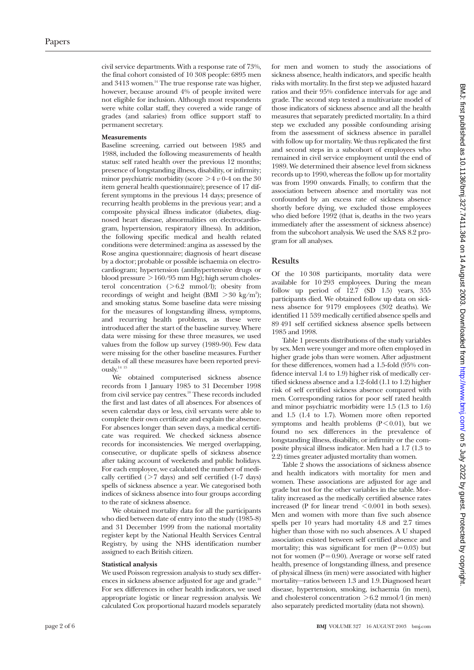civil service departments. With a response rate of 73%, the final cohort consisted of 10 308 people: 6895 men and 3413 women.<sup>14</sup> The true response rate was higher, however, because around 4% of people invited were not eligible for inclusion. Although most respondents were white collar staff, they covered a wide range of grades (and salaries) from office support staff to permanent secretary.

#### **Measurements**

Baseline screening, carried out between 1985 and 1988, included the following measurements of health status: self rated health over the previous 12 months; presence of longstanding illness, disability, or infirmity; minor psychiatric morbidity (score  $>$  4  $\nu$  0-4 on the 30 item general health questionnaire); presence of 17 different symptoms in the previous 14 days; presence of recurring health problems in the previous year; and a composite physical illness indicator (diabetes, diagnosed heart disease, abnormalities on electrocardiogram, hypertension, respiratory illness). In addition, the following specific medical and health related conditions were determined: angina as assessed by the Rose angina questionnaire; diagnosis of heart disease by a doctor; probable or possible ischaemia on electrocardiogram; hypertension (antihypertensive drugs or blood pressure  $> 160/95$  mm Hg); high serum cholesterol concentration  $($ >6.2 mmol $/$ l); obesity from recordings of weight and height (BMI  $>$  30 kg/m<sup>2</sup>); and smoking status. Some baseline data were missing for the measures of longstanding illness, symptoms, and recurring health problems, as these were introduced after the start of the baseline survey. Where data were missing for these three measures, we used values from the follow up survey (1989-90). Few data were missing for the other baseline measures. Further details of all these measures have been reported previously. $^\mathrm{14}$   $^\mathrm{15}$ 

We obtained computerised sickness absence records from 1 January 1985 to 31 December 1998 from civil service pay centres.<sup>10</sup> These records included the first and last dates of all absences. For absences of seven calendar days or less, civil servants were able to complete their own certificate and explain the absence. For absences longer than seven days, a medical certificate was required. We checked sickness absence records for inconsistencies. We merged overlapping, consecutive, or duplicate spells of sickness absence after taking account of weekends and public holidays. For each employee, we calculated the number of medically certified  $($  > 7 days) and self certified  $($ 1-7 days) spells of sickness absence a year. We categorised both indices of sickness absence into four groups according to the rate of sickness absence.

We obtained mortality data for all the participants who died between date of entry into the study (1985-8) and 31 December 1999 from the national mortality register kept by the National Health Services Central Registry, by using the NHS identification number assigned to each British citizen.

#### **Statistical analysis**

We used Poisson regression analysis to study sex differences in sickness absence adjusted for age and grade.<sup>10</sup> For sex differences in other health indicators, we used appropriate logistic or linear regression analysis. We calculated Cox proportional hazard models separately

for men and women to study the associations of sickness absence, health indicators, and specific health risks with mortality. In the first step we adjusted hazard ratios and their 95% confidence intervals for age and grade. The second step tested a multivariate model of those indicators of sickness absence and all the health measures that separately predicted mortality. In a third step we excluded any possible confounding arising from the assessment of sickness absence in parallel with follow up for mortality. We thus replicated the first and second steps in a subcohort of employees who remained in civil service employment until the end of 1989. We determined their absence level from sickness records up to 1990, whereas the follow up for mortality was from 1990 onwards. Finally, to confirm that the association between absence and mortality was not confounded by an excess rate of sickness absence shortly before dying, we excluded those employees who died before 1992 (that is, deaths in the two years immediately after the assessment of sickness absence) from the subcohort analysis. We used the SAS 8.2 program for all analyses.

# **Results**

Of the 10 308 participants, mortality data were available for 10 293 employees. During the mean follow up period of  $12.7$  (SD  $1.5$ ) years, 355 participants died. We obtained follow up data on sickness absence for 9179 employees (302 deaths). We identified 11 539 medically certified absence spells and 89 491 self certified sickness absence spells between 1985 and 1998.

Table 1 presents distributions of the study variables by sex. Men were younger and more often employed in higher grade jobs than were women. After adjustment for these differences, women had a 1.5-fold (95% confidence interval 1.4 to 1.9) higher risk of medically certified sickness absence and a 1.2-fold (1.1 to 1.2) higher risk of self certified sickness absence compared with men. Corresponding ratios for poor self rated health and minor psychiatric morbidity were 1.5 (1.3 to 1.6) and 1.5 (1.4 to 1.7). Women more often reported symptoms and health problems  $(P < 0.01)$ , but we found no sex differences in the prevalence of longstanding illness, disability, or infirmity or the composite physical illness indicator. Men had a 1.7 (1.3 to 2.2) times greater adjusted mortality than women.

Table 2 shows the associations of sickness absence and health indicators with mortality for men and women. These associations are adjusted for age and grade but not for the other variables in the table. Mortality increased as the medically certified absence rates increased (P for linear trend < 0.001 in both sexes). Men and women with more than five such absence spells per 10 years had mortality 4.8 and 2.7 times higher than those with no such absences. A U shaped association existed between self certified absence and mortality; this was significant for men  $(P=0.03)$  but not for women ( $P = 0.90$ ). Average or worse self rated health, presence of longstanding illness, and presence of physical illness (in men) were associated with higher mortality—ratios between 1.3 and 1.9. Diagnosed heart disease, hypertension, smoking, ischaemia (in men), and cholesterol concentration  $>6.2$  mmol/l (in men) also separately predicted mortality (data not shown).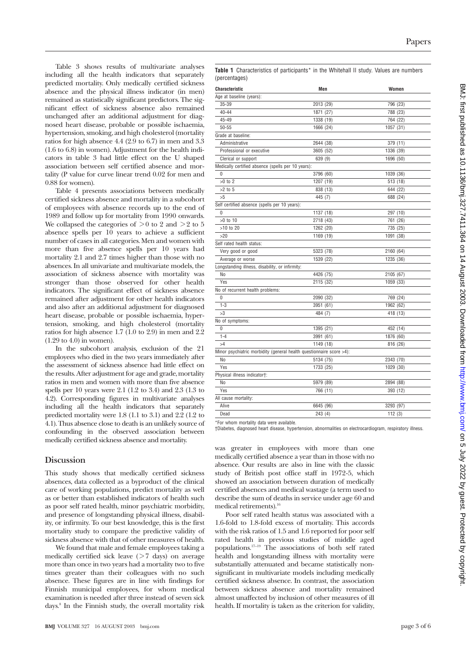Table 3 shows results of multivariate analyses including all the health indicators that separately predicted mortality. Only medically certified sickness absence and the physical illness indicator (in men) remained as statistically significant predictors. The significant effect of sickness absence also remained unchanged after an additional adjustment for diagnosed heart disease, probable or possible ischaemia, hypertension, smoking, and high cholesterol (mortality ratios for high absence 4.4 (2.9 to 6.7) in men and 3.3 (1.6 to 6.8) in women). Adjustment for the health indicators in table 3 had little effect on the U shaped association between self certified absence and mortality (P value for curve linear trend 0.02 for men and 0.88 for women).

Table 4 presents associations between medically certified sickness absence and mortality in a subcohort of employees with absence records up to the end of 1989 and follow up for mortality from 1990 onwards. We collapsed the categories of  $> 0$  to 2 and  $> 2$  to 5 absence spells per 10 years to achieve a sufficient number of cases in all categories. Men and women with more than five absence spells per 10 years had mortality 2.1 and 2.7 times higher than those with no absences. In all univariate and multivariate models, the association of sickness absence with mortality was stronger than those observed for other health indicators. The significant effect of sickness absence remained after adjustment for other health indicators and also after an additional adjustment for diagnosed heart disease, probable or possible ischaemia, hypertension, smoking, and high cholesterol (mortality ratios for high absence 1.7 (1.0 to 2.9) in men and 2.2 (1.29 to 4.0) in women).

In the subcohort analysis, exclusion of the 21 employees who died in the two years immediately after the assessment of sickness absence had little effect on the results. After adjustment for age and grade, mortality ratios in men and women with more than five absence spells per 10 years were 2.1 (1.2 to 3.4) and 2.3 (1.3 to 4.2). Corresponding figures in multivariate analyses including all the health indicators that separately predicted mortality were 1.8 (1.1 to 3.1) and 2.2 (1.2 to 4.1). Thus absence close to death is an unlikely source of confounding in the observed association between medically certified sickness absence and mortality.

# **Discussion**

This study shows that medically certified sickness absences, data collected as a byproduct of the clinical care of working populations, predict mortality as well as or better than established indicators of health such as poor self rated health, minor psychiatric morbidity, and presence of longstanding physical illness, disability, or infirmity. To our best knowledge, this is the first mortality study to compare the predictive validity of sickness absence with that of other measures of health.

We found that male and female employees taking a medically certified sick leave  $($  > 7 days) on average more than once in two years had a mortality two to five times greater than their colleagues with no such absence. These figures are in line with findings for Finnish municipal employees, for whom medical examination is needed after three instead of seven sick days.8 In the Finnish study, the overall mortality risk Table 1 Characteristics of participants<sup>\*</sup> in the Whitehall II study. Values are numbers (percentages)

| Characteristic                                                       | Men       | Women     |
|----------------------------------------------------------------------|-----------|-----------|
| Age at baseline (years):                                             |           |           |
| 35-39                                                                | 2013 (29) | 796 (23)  |
| $40 - 44$                                                            | 1871 (27) | 788 (23)  |
| 45-49                                                                | 1338 (19) | 764 (22)  |
| $50 - 55$                                                            | 1666 (24) | 1057 (31) |
| Grade at baseline:                                                   |           |           |
| Administrative                                                       | 2644 (38) | 379 (11)  |
| Professional or executive                                            | 3605 (52) | 1336 (39) |
| Clerical or support                                                  | 639 (9)   | 1696 (50) |
| Medically certified absence (spells per 10 years):                   |           |           |
| 0                                                                    | 3796 (60) | 1039 (36) |
| $>0$ to 2                                                            | 1207 (19) | 513 (18)  |
| $>2$ to 5                                                            | 838 (13)  | 644 (22)  |
| >5                                                                   | 445 (7)   | 688 (24)  |
| Self certified absence (spells per 10 years):                        |           |           |
| $\Omega$                                                             | 1137 (18) | 297 (10)  |
| >0 to 10                                                             | 2718 (43) | 761 (26)  |
| >10 to 20                                                            | 1262 (20) | 735 (25)  |
| >20                                                                  | 1169 (19) | 1091 (38) |
| Self rated health status:                                            |           |           |
| Very good or good                                                    | 5323 (78) | 2160 (64) |
| Average or worse                                                     | 1539 (22) | 1235 (36) |
| Longstanding illness, disability, or infirmity:                      |           |           |
| No                                                                   | 4426 (75) | 2105 (67) |
| Yes                                                                  | 2115 (32) | 1059 (33) |
| No of recurrent health problems:                                     |           |           |
| $\Omega$                                                             | 2090 (32) | 769 (24)  |
| $1 - 3$                                                              | 3951 (61) | 1962 (62) |
| >3                                                                   | 484 (7)   | 418 (13)  |
| No of symptoms:                                                      |           |           |
| 0                                                                    | 1395 (21) | 452 (14)  |
| $1 - 4$                                                              | 3991 (61) | 1876 (60) |
| >4                                                                   | 1149 (18) | 816 (26)  |
| Minor psychiatric morbidity (general health questionnaire score >4): |           |           |
| No                                                                   | 5134 (75) | 2343 (70) |
| Yes                                                                  | 1733 (25) | 1029 (30) |
| Physical illness indicator†:                                         |           |           |
| No                                                                   | 5979 (89) | 2894 (88) |
| Yes                                                                  | 766 (11)  | 393 (12)  |
| All cause mortality:                                                 |           |           |
| Alive                                                                | 6645 (96) | 3293 (97) |
| Dead                                                                 | 243(4)    | 112(3)    |

\*For whom mortality data were available.

†Diabetes, diagnosed heart disease, hypertension, abnormalities on electrocardiogram, respiratory illness.

was greater in employees with more than one medically certified absence a year than in those with no absence. Our results are also in line with the classic study of British post office staff in 1972-5, which showed an association between duration of medically certified absences and medical wastage (a term used to describe the sum of deaths in service under age 60 and medical retirements).<sup>16</sup>

Poor self rated health status was associated with a 1.6-fold to 1.8-fold excess of mortality. This accords with the risk ratios of 1.5 and 1.6 reported for poor self rated health in previous studies of middle aged populations.17–19 The associations of both self rated health and longstanding illness with mortality were substantially attenuated and became statistically nonsignificant in multivariate models including medically certified sickness absence. In contrast, the association between sickness absence and mortality remained almost unaffected by inclusion of other measures of ill health. If mortality is taken as the criterion for validity,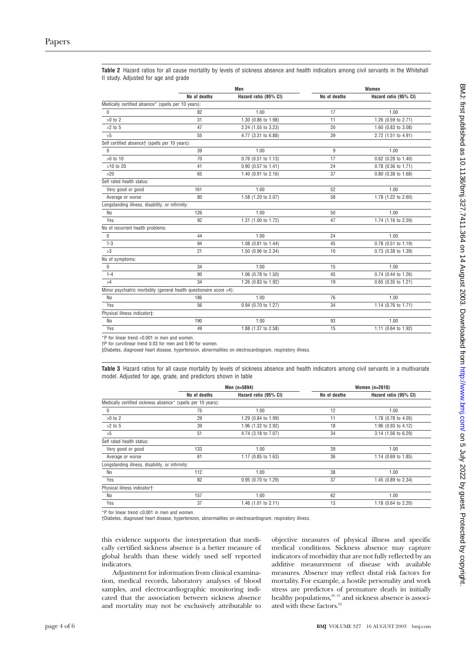|                                                                     | Men          |                       | Women        |                       |  |
|---------------------------------------------------------------------|--------------|-----------------------|--------------|-----------------------|--|
|                                                                     | No of deaths | Hazard ratio (95% CI) | No of deaths | Hazard ratio (95% CI) |  |
| Medically certified absence* (spells per 10 years):                 |              |                       |              |                       |  |
| $\Omega$                                                            | 82           | 1.00                  | 17           | 1.00                  |  |
| $>0$ to 2                                                           | 31           | 1.30 (0.86 to 1.98)   | 11           | 1.26 (0.59 to 2.71)   |  |
| $>2$ to $5$                                                         | 47           | 2.24 (1.55 to 3.23)   | 20           | 1.60 (0.83 to 3.08)   |  |
| >5                                                                  | 55           | 4.77 (3.31 to 6.88)   | 39           | 2.72 (1.51 to 4.91)   |  |
| Self certified absence† (spells per 10 years):                      |              |                       |              |                       |  |
| $\Omega$                                                            | 39           | 1.00                  | 9            | 1.00                  |  |
| >0 to 10                                                            | 70           | 0.76 (0.51 to 1.13)   | 17           | 0.62 (0.28 to 1.40)   |  |
| >10 to 20                                                           | 41           | 0.90 (0.57 to 1.41)   | 24           | 0.78 (0.36 to 1.71)   |  |
| >20                                                                 | 65           | 1.40 (0.91 to 2.16)   | 37           | 0.80 (0.38 to 1.68)   |  |
| Self rated health status:                                           |              |                       |              |                       |  |
| Very good or good                                                   | 161          | 1.00                  | 52           | 1.00                  |  |
| Average or worse                                                    | 80           | 1.58 (1.20 to 2.07)   | 58           | 1.78 (1.22 to 2.60)   |  |
| Longstanding illness, disability, or infirmity:                     |              |                       |              |                       |  |
| No                                                                  | 126          | 1.00                  | 50           | 1.00                  |  |
| Yes                                                                 | 92           | 1.31 (1.00 to 1.72)   | 47           | 1.74 (1.16 to 2.59)   |  |
| No of recurrent health problems:                                    |              |                       |              |                       |  |
| 0                                                                   | 44           | 1.00                  | 24           | 1.00                  |  |
| $1 - 3$                                                             | 94           | 1.08 (0.81 to 1.44)   | 45           | 0.78 (0.51 to 1.19)   |  |
| >3                                                                  | 21           | 1.50 (0.96 to 2.34)   | 10           | 0.73 (0.38 to 1.39)   |  |
| No of symptoms:                                                     |              |                       |              |                       |  |
| $\mathbf 0$                                                         | 34           | 1.00                  | 15           | 1.00                  |  |
| $1 - 4$                                                             | 90           | 1.06 (0.78 to 1.50)   | 45           | 0.74 (0.44 to 1.26)   |  |
| >4                                                                  | 34           | 1.26 (0.83 to 1.92)   | 19           | 0.65 (0.35 to 1.21)   |  |
| Minor psychiatric morbidity (general health questionaire score >4): |              |                       |              |                       |  |
| No                                                                  | 186          | 1.00                  | 76           | 1.00                  |  |
| Yes                                                                 | 56           | 0.94 (0.70 to 1.27)   | 34           | 1.14 (0.76 to 1.71)   |  |
| Physical illness indicator‡:                                        |              |                       |              |                       |  |
| No                                                                  | 190          | 1.00                  | 93           | 1.00                  |  |
| Yes                                                                 | 49           | 1.88 (1.37 to 2.58)   | 15           | 1.11 (0.64 to 1.92)   |  |

**Table 2** Hazard ratios for all cause mortality by levels of sickness absence and health indicators among civil servants in the Whitehall II study. Adjusted for age and grade

\*P for linear trend <0.001 in men and women.

†P for curvilinear trend 0.03 for men and 0.90 for women.

‡Diabetes, diagnosed heart disease, hypertension, abnormalities on electrocardiogram, respiratory illness.

**Table 3** Hazard ratios for all cause mortality by levels of sickness absence and health indicators among civil servants in a multivariate model. Adjusted for age, grade, and predictors shown in table

|                                                              | Men (n=5894) |                       | Women $(n=2610)$ |                       |
|--------------------------------------------------------------|--------------|-----------------------|------------------|-----------------------|
|                                                              | No of deaths | Hazard ratio (95% CI) | No of deaths     | Hazard ratio (95% CI) |
| Medically certified sickness absence* (spells per 10 years): |              |                       |                  |                       |
| 0                                                            | 75           | 1.00                  | 12               | 1.00                  |
| $>0$ to 2                                                    | 29           | 1.29 (0.84 to 1.99)   | 11               | 1.78 (0.78 to 4.05)   |
| $>2$ to 5                                                    | 39           | 1.96 (1.32 to 2.92)   | 18               | 1.96 (0.93 to 4.12)   |
| >5                                                           | 51           | 4.74 (3.18 to 7.07)   | 34               | 3.14 (1.56 to 6.29)   |
| Self rated health status:                                    |              |                       |                  |                       |
| Very good or good                                            | 133          | 1.00                  | 39               | 1.00                  |
| Average or worse                                             | 61           | 1.17 (0.85 to 1.63)   | 36               | 1.14 (0.69 to 1.85)   |
| Longstanding illness, disability, or infirmity:              |              |                       |                  |                       |
| No                                                           | 112          | 1.00                  | 38               | 1.00                  |
| Yes                                                          | 82           | 0.95 (0.70 to 1.29)   | 37               | 1.45 (0.89 to 2.34)   |
| Physical illness indicator†:                                 |              |                       |                  |                       |
| No                                                           | 157          | 1.00                  | 62               | 1.00                  |
| Yes                                                          | 37           | 1.46 (1.01 to 2.11)   | 13               | 1.18 (0.64 to 2.20)   |

\*P for linear trend ≤0.001 in men and women.

†Diabetes, diagnosed heart disease, hypertension, abnormalities on electrocardiogram, respiratory illness.

this evidence supports the interpretation that medically certified sickness absence is a better measure of global health than these widely used self reported indicators.

Adjustment for information from clinical examination, medical records, laboratory analyses of blood samples, and electrocardiographic monitoring indicated that the association between sickness absence and mortality may not be exclusively attributable to

objective measures of physical illness and specific medical conditions. Sickness absence may capture indicators of morbidity that are not fully reflected by an additive measurement of disease with available measures. Absence may reflect distal risk factors for mortality. For example, a hostile personality and work stress are predictors of premature death in initially healthy populations,<sup>20 21</sup> and sickness absence is associated with these factors. $22$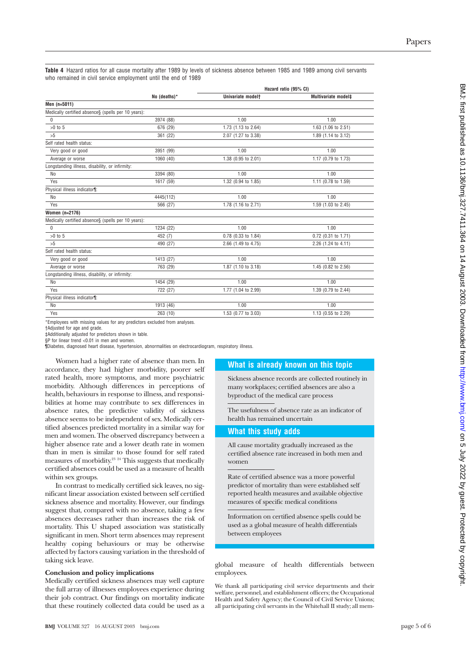**Table 4** Hazard ratios for all cause mortality after 1989 by levels of sickness absence between 1985 and 1989 among civil servants who remained in civil service employment until the end of 1989

|                                                     |              | Hazard ratio (95% CI)         |                     |  |
|-----------------------------------------------------|--------------|-------------------------------|---------------------|--|
|                                                     | No (deaths)* | Univariate model <sup>+</sup> | Multivariate model‡ |  |
| Men (n=5011)                                        |              |                               |                     |  |
| Medically certified absence§ (spells per 10 years): |              |                               |                     |  |
| $\mathbf{0}$                                        | 3974 (88)    | 1.00                          | 1.00                |  |
| $>0$ to $5$                                         | 676 (29)     | 1.73 (1.13 to 2.64)           | 1.63 (1.06 to 2.51) |  |
| >5                                                  | 361 (22)     | 2.07 (1.27 to 3.38)           | 1.89 (1.14 to 3.12) |  |
| Self rated health status:                           |              |                               |                     |  |
| Very good or good                                   | 3951 (99)    | 1.00                          | 1.00                |  |
| Average or worse                                    | 1060 (40)    | 1.38 (0.95 to 2.01)           | 1.17 (0.79 to 1.73) |  |
| Longstanding illness, disability, or infirmity:     |              |                               |                     |  |
| N <sub>o</sub>                                      | 3394 (80)    | 1.00                          | 1.00                |  |
| Yes                                                 | 1617 (59)    | 1.32 (0.94 to 1.85)           | 1.11 (0.78 to 1.59) |  |
| Physical illness indicator¶:                        |              |                               |                     |  |
| No                                                  | 4445(112)    | 1.00                          | 1.00                |  |
| Yes                                                 | 566 (27)     | 1.78 (1.16 to 2.71)           | 1.59 (1.03 to 2.45) |  |
| Women (n=2176)                                      |              |                               |                     |  |
| Medically certified absence§ (spells per 10 years): |              |                               |                     |  |
| 0                                                   | 1234 (22)    | 1.00                          | 1.00                |  |
| $>0$ to 5                                           | 452 (7)      | 0.78 (0.33 to 1.84)           | 0.72 (0.31 to 1.71) |  |
| >5                                                  | 490 (27)     | 2.66 (1.49 to 4.75)           | 2.26 (1.24 to 4.11) |  |
| Self rated health status:                           |              |                               |                     |  |
| Very good or good                                   | 1413 (27)    | 1.00                          | 1.00                |  |
| Average or worse                                    | 763 (29)     | 1.87 (1.10 to 3.18)           | 1.45 (0.82 to 2.56) |  |
| Longstanding illness, disability, or infirmity:     |              |                               |                     |  |
| N <sub>o</sub>                                      | 1454 (29)    | 1.00                          | 1.00                |  |
| Yes                                                 | 722 (27)     | 1.77 (1.04 to 2.99)           | 1.39 (0.79 to 2.44) |  |
| Physical illness indicator¶:                        |              |                               |                     |  |
| N <sub>o</sub>                                      | 1913 (46)    | 1.00                          | 1.00                |  |
| Yes                                                 | 263 (10)     | 1.53 (0.77 to 3.03)           | 1.13 (0.55 to 2.29) |  |
|                                                     |              |                               |                     |  |

\*Employees with missing values for any predictors excluded from analyses.

†Adjusted for age and grade.

‡Additionally adjusted for predictors shown in table. §P for linear trend <0.01 in men and women.

¶Diabetes, diagnosed heart disease, hypertension, abnormalities on electrocardiogram, respiratory illness.

Women had a higher rate of absence than men. In accordance, they had higher morbidity, poorer self rated health, more symptoms, and more psychiatric morbidity. Although differences in perceptions of health, behaviours in response to illness, and responsibilities at home may contribute to sex differences in absence rates, the predictive validity of sickness absence seems to be independent of sex. Medically certified absences predicted mortality in a similar way for men and women. The observed discrepancy between a higher absence rate and a lower death rate in women than in men is similar to those found for self rated measures of morbidity.<sup>23</sup> <sup>24</sup> This suggests that medically certified absences could be used as a measure of health within sex groups.

In contrast to medically certified sick leaves, no significant linear association existed between self certified sickness absence and mortality. However, our findings suggest that, compared with no absence, taking a few absences decreases rather than increases the risk of mortality. This U shaped association was statistically significant in men. Short term absences may represent healthy coping behaviours or may be otherwise affected by factors causing variation in the threshold of taking sick leave.

#### **Conclusion and policy implications**

Medically certified sickness absences may well capture the full array of illnesses employees experience during their job contract. Our findings on mortality indicate that these routinely collected data could be used as a

# **What is already known on this topic**

Sickness absence records are collected routinely in many workplaces; certified absences are also a byproduct of the medical care process

The usefulness of absence rate as an indicator of health has remained uncertain

# **What this study adds**

All cause mortality gradually increased as the certified absence rate increased in both men and women

Rate of certified absence was a more powerful predictor of mortality than were established self reported health measures and available objective measures of specific medical conditions

Information on certified absence spells could be used as a global measure of health differentials between employees

global measure of health differentials between employees.

We thank all participating civil service departments and their welfare, personnel, and establishment officers; the Occupational Health and Safety Agency; the Council of Civil Service Unions; all participating civil servants in the Whitehall II study; all mem-